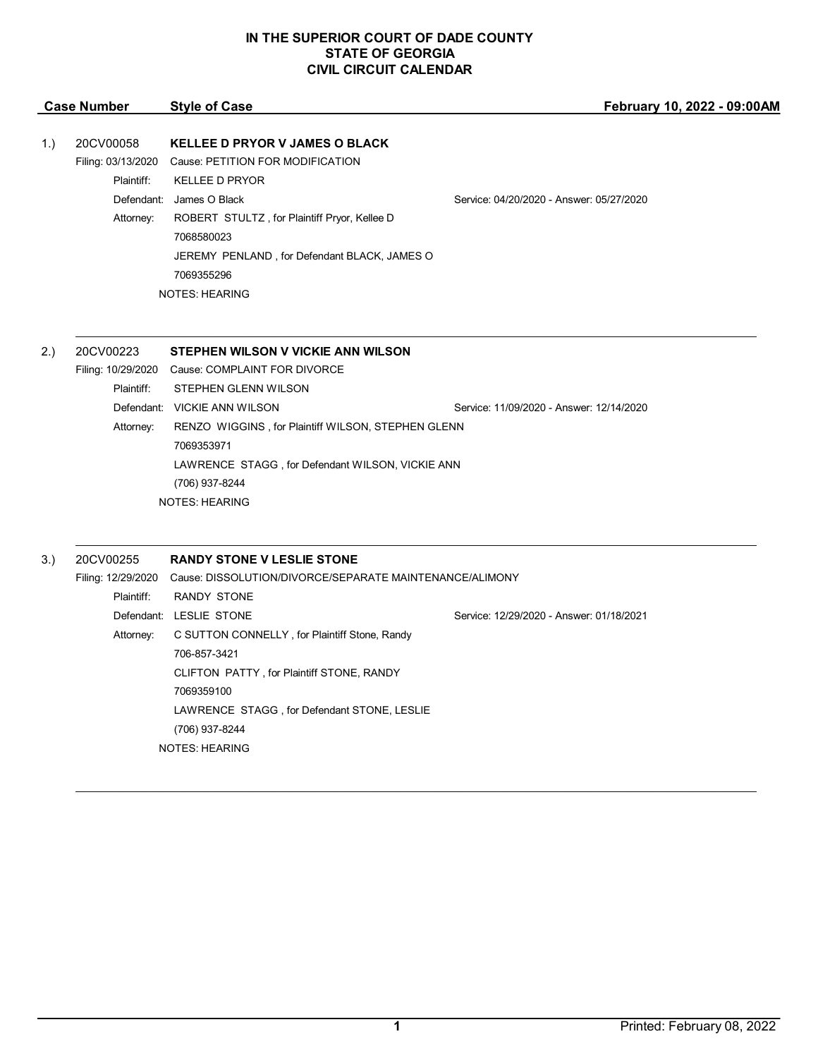| <b>Case Number</b> |            | <b>Style of Case</b>                                                                         | February 10, 2022 - 09:00AM              |
|--------------------|------------|----------------------------------------------------------------------------------------------|------------------------------------------|
| 1.)                | 20CV00058  | <b>KELLEE D PRYOR V JAMES O BLACK</b><br>Filing: 03/13/2020 Cause: PETITION FOR MODIFICATION |                                          |
|                    | Plaintiff: | <b>KELLEE D PRYOR</b>                                                                        |                                          |
|                    | Defendant: | James O Black                                                                                | Service: 04/20/2020 - Answer: 05/27/2020 |
|                    | Attorney:  | ROBERT STULTZ, for Plaintiff Pryor, Kellee D                                                 |                                          |
|                    |            | 7068580023                                                                                   |                                          |
|                    |            | JEREMY PENLAND, for Defendant BLACK, JAMES O                                                 |                                          |
|                    |            | 7069355296                                                                                   |                                          |
|                    |            | <b>NOTES: HEARING</b>                                                                        |                                          |

| 2.) | 20CV00223  | STEPHEN WILSON V VICKIE ANN WILSON                 |                                          |  |
|-----|------------|----------------------------------------------------|------------------------------------------|--|
|     |            | Filing: 10/29/2020 Cause: COMPLAINT FOR DIVORCE    |                                          |  |
|     | Plaintiff: | STEPHEN GLENN WILSON                               |                                          |  |
|     | Defendant: | VICKIE ANN WILSON                                  | Service: 11/09/2020 - Answer: 12/14/2020 |  |
|     | Attorney:  | RENZO WIGGINS, for Plaintiff WILSON, STEPHEN GLENN |                                          |  |
|     |            | 7069353971                                         |                                          |  |
|     |            | LAWRENCE STAGG, for Defendant WILSON, VICKIE ANN   |                                          |  |
|     |            | (706) 937-8244                                     |                                          |  |
|     |            | <b>NOTES: HEARING</b>                              |                                          |  |

 $\mathcal{L}_\mathcal{L} = \mathcal{L}_\mathcal{L} = \mathcal{L}_\mathcal{L} = \mathcal{L}_\mathcal{L} = \mathcal{L}_\mathcal{L} = \mathcal{L}_\mathcal{L} = \mathcal{L}_\mathcal{L} = \mathcal{L}_\mathcal{L} = \mathcal{L}_\mathcal{L} = \mathcal{L}_\mathcal{L} = \mathcal{L}_\mathcal{L} = \mathcal{L}_\mathcal{L} = \mathcal{L}_\mathcal{L} = \mathcal{L}_\mathcal{L} = \mathcal{L}_\mathcal{L} = \mathcal{L}_\mathcal{L} = \mathcal{L}_\mathcal{L}$ 

 $\mathcal{L}_\mathcal{L} = \mathcal{L}_\mathcal{L} = \mathcal{L}_\mathcal{L} = \mathcal{L}_\mathcal{L} = \mathcal{L}_\mathcal{L} = \mathcal{L}_\mathcal{L} = \mathcal{L}_\mathcal{L} = \mathcal{L}_\mathcal{L} = \mathcal{L}_\mathcal{L} = \mathcal{L}_\mathcal{L} = \mathcal{L}_\mathcal{L} = \mathcal{L}_\mathcal{L} = \mathcal{L}_\mathcal{L} = \mathcal{L}_\mathcal{L} = \mathcal{L}_\mathcal{L} = \mathcal{L}_\mathcal{L} = \mathcal{L}_\mathcal{L}$ 

 $\mathcal{L}_\mathcal{L} = \mathcal{L}_\mathcal{L} = \mathcal{L}_\mathcal{L} = \mathcal{L}_\mathcal{L} = \mathcal{L}_\mathcal{L} = \mathcal{L}_\mathcal{L} = \mathcal{L}_\mathcal{L} = \mathcal{L}_\mathcal{L} = \mathcal{L}_\mathcal{L} = \mathcal{L}_\mathcal{L} = \mathcal{L}_\mathcal{L} = \mathcal{L}_\mathcal{L} = \mathcal{L}_\mathcal{L} = \mathcal{L}_\mathcal{L} = \mathcal{L}_\mathcal{L} = \mathcal{L}_\mathcal{L} = \mathcal{L}_\mathcal{L}$ 

| 3.)                                                                           | 20CV00255  | <b>RANDY STONE V LESLIE STONE</b>             |                                          |
|-------------------------------------------------------------------------------|------------|-----------------------------------------------|------------------------------------------|
| Cause: DISSOLUTION/DIVORCE/SEPARATE MAINTENANCE/ALIMONY<br>Filing: 12/29/2020 |            |                                               |                                          |
|                                                                               | Plaintiff: | RANDY STONE                                   |                                          |
|                                                                               |            | Defendant: LESLIE STONE                       | Service: 12/29/2020 - Answer: 01/18/2021 |
|                                                                               | Attorney:  | C SUTTON CONNELLY, for Plaintiff Stone, Randy |                                          |
|                                                                               |            | 706-857-3421                                  |                                          |
|                                                                               |            | CLIFTON PATTY, for Plaintiff STONE, RANDY     |                                          |
|                                                                               |            | 7069359100                                    |                                          |
|                                                                               |            | LAWRENCE STAGG, for Defendant STONE, LESLIE   |                                          |
|                                                                               |            | (706) 937-8244                                |                                          |
|                                                                               |            | <b>NOTES: HEARING</b>                         |                                          |
|                                                                               |            |                                               |                                          |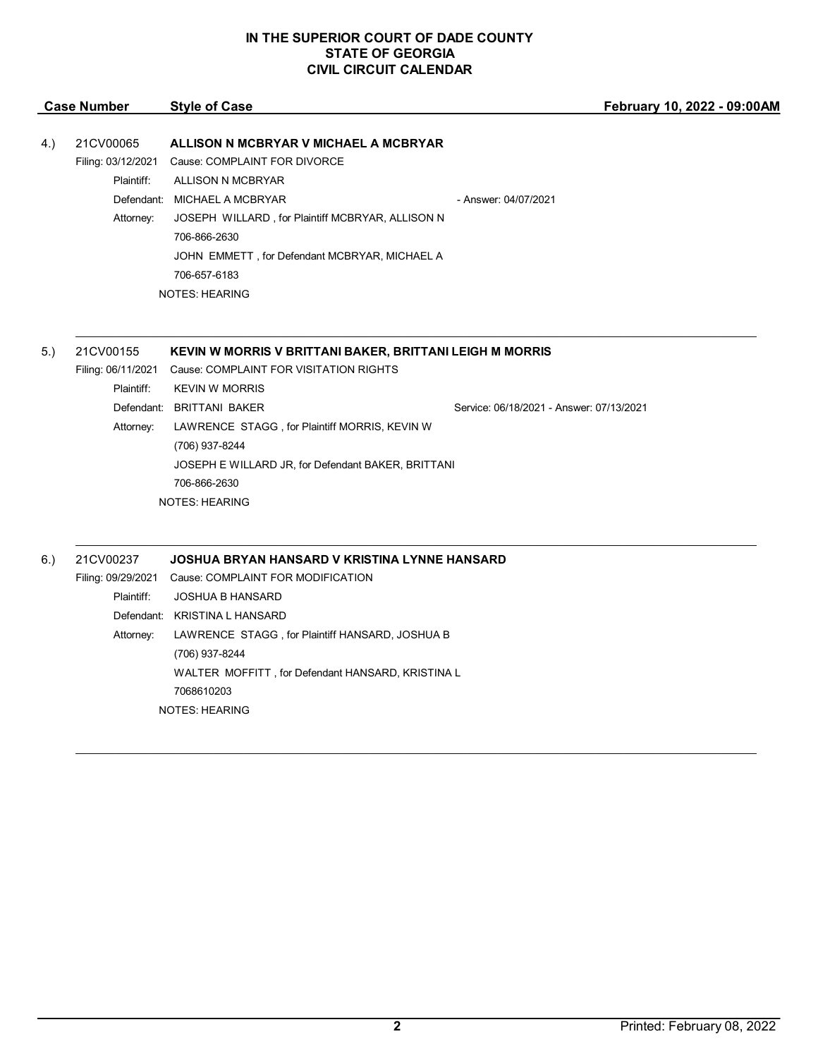|     | <b>Case Number</b> | <b>Style of Case</b>                                      | February 10, 2022 - 09:00AM              |
|-----|--------------------|-----------------------------------------------------------|------------------------------------------|
|     |                    |                                                           |                                          |
| 4.) | 21CV00065          | ALLISON N MCBRYAR V MICHAEL A MCBRYAR                     |                                          |
|     | Filing: 03/12/2021 | Cause: COMPLAINT FOR DIVORCE                              |                                          |
|     | Plaintiff:         | ALLISON N MCBRYAR                                         |                                          |
|     |                    | Defendant: MICHAEL A MCBRYAR                              | - Answer: 04/07/2021                     |
|     | Attorney:          | JOSEPH WILLARD, for Plaintiff MCBRYAR, ALLISON N          |                                          |
|     |                    | 706-866-2630                                              |                                          |
|     |                    | JOHN EMMETT, for Defendant MCBRYAR, MICHAEL A             |                                          |
|     |                    | 706-657-6183                                              |                                          |
|     |                    | <b>NOTES: HEARING</b>                                     |                                          |
|     |                    |                                                           |                                          |
|     |                    |                                                           |                                          |
| 5.  | 21CV00155          | KEVIN W MORRIS V BRITTANI BAKER, BRITTANI LEIGH M MORRIS  |                                          |
|     |                    | Filing: 06/11/2021 Cause: COMPLAINT FOR VISITATION RIGHTS |                                          |
|     | Plaintiff:         | <b>KEVIN W MORRIS</b>                                     |                                          |
|     |                    | Defendant: BRITTANI BAKER                                 | Service: 06/18/2021 - Answer: 07/13/2021 |
|     | Attorney:          | LAWRENCE STAGG, for Plaintiff MORRIS, KEVIN W             |                                          |
|     |                    | (706) 937-8244                                            |                                          |
|     |                    | JOSEPH E WILLARD JR, for Defendant BAKER, BRITTANI        |                                          |
|     |                    | 706-866-2630                                              |                                          |
|     |                    | <b>NOTES: HEARING</b>                                     |                                          |
|     |                    |                                                           |                                          |

 $\mathcal{L}_\mathcal{L} = \mathcal{L}_\mathcal{L} = \mathcal{L}_\mathcal{L} = \mathcal{L}_\mathcal{L} = \mathcal{L}_\mathcal{L} = \mathcal{L}_\mathcal{L} = \mathcal{L}_\mathcal{L} = \mathcal{L}_\mathcal{L} = \mathcal{L}_\mathcal{L} = \mathcal{L}_\mathcal{L} = \mathcal{L}_\mathcal{L} = \mathcal{L}_\mathcal{L} = \mathcal{L}_\mathcal{L} = \mathcal{L}_\mathcal{L} = \mathcal{L}_\mathcal{L} = \mathcal{L}_\mathcal{L} = \mathcal{L}_\mathcal{L}$ 6.) 21CV00237 **JOSHUA BRYAN HANSARD V KRISTINA LYNNE HANSARD** Filing: 09/29/2021 Cause: COMPLAINT FOR MODIFICATION Plaintiff: JOSHUA B HANSARD Defendant: KRISTINA L HANSARD Attorney: LAWRENCE STAGG , for Plaintiff HANSARD, JOSHUA B (706) 937-8244 WALTER MOFFITT , for Defendant HANSARD, KRISTINA L 7068610203 NOTES: HEARING

\_\_\_\_\_\_\_\_\_\_\_\_\_\_\_\_\_\_\_\_\_\_\_\_\_\_\_\_\_\_\_\_\_\_\_\_\_\_\_\_\_\_\_\_\_\_\_\_\_\_\_\_\_\_\_\_\_\_\_\_\_\_\_\_\_\_\_\_\_\_\_\_\_\_\_\_\_\_\_\_\_\_\_\_\_\_\_\_\_\_\_\_\_\_\_\_\_\_\_\_\_\_\_\_\_\_\_\_\_\_\_\_\_\_\_\_\_\_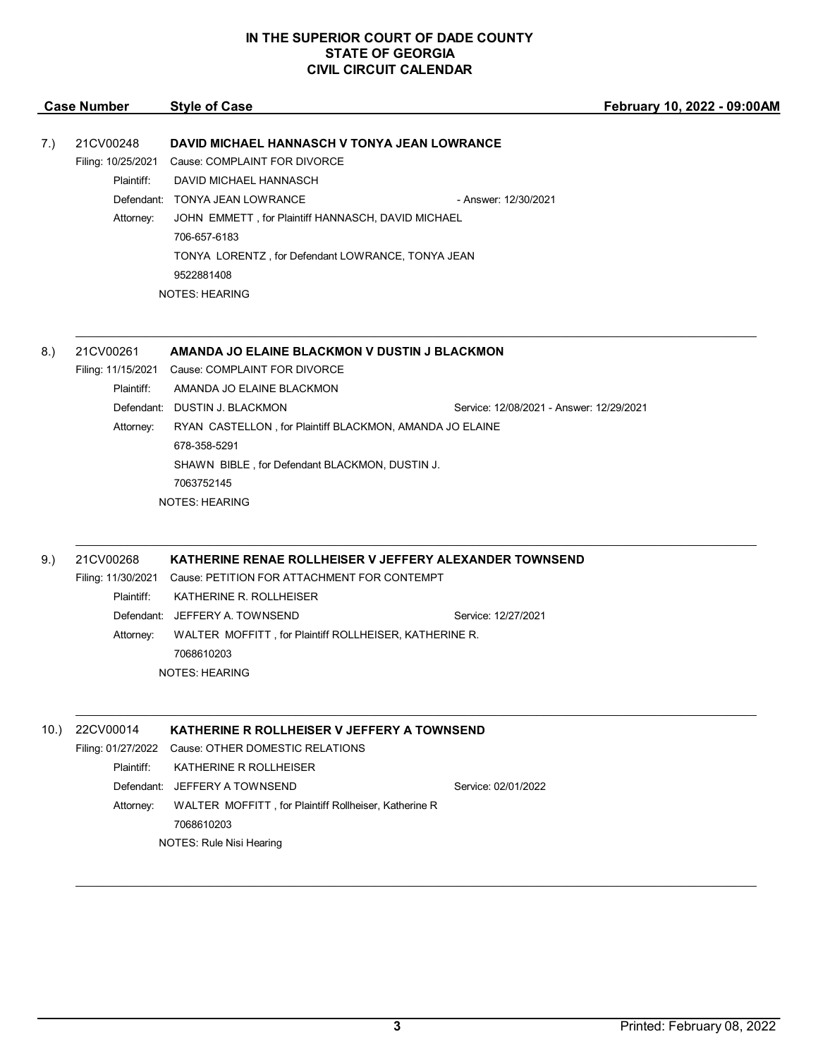|     | <b>Case Number</b> | <b>Style of Case</b>                               |                      | February 10, 2022 - 09:00AM |
|-----|--------------------|----------------------------------------------------|----------------------|-----------------------------|
|     |                    |                                                    |                      |                             |
| 7.) | 21CV00248          | DAVID MICHAEL HANNASCH V TONYA JEAN LOWRANCE       |                      |                             |
|     | Filing: 10/25/2021 | Cause: COMPLAINT FOR DIVORCE                       |                      |                             |
|     | Plaintiff:         | DAVID MICHAEL HANNASCH                             |                      |                             |
|     | Defendant:         | TONYA JEAN LOWRANCE                                | - Answer: 12/30/2021 |                             |
|     | Attorney:          | JOHN EMMETT, for Plaintiff HANNASCH, DAVID MICHAEL |                      |                             |
|     |                    | 706-657-6183                                       |                      |                             |
|     |                    | TONYA LORENTZ, for Defendant LOWRANCE, TONYA JEAN  |                      |                             |
|     |                    | 9522881408                                         |                      |                             |
|     |                    | <b>NOTES: HEARING</b>                              |                      |                             |
|     |                    |                                                    |                      |                             |
|     |                    |                                                    |                      |                             |

### 8.) 21CV00261 **AMANDA JO ELAINE BLACKMON V DUSTIN J BLACKMON**

Filing: 11/15/2021 Cause: COMPLAINT FOR DIVORCE Plaintiff: AMANDA JO ELAINE BLACKMON Defendant: DUSTIN J. BLACKMON Service: 12/08/2021 - Answer: 12/29/2021 Attorney: RYAN CASTELLON, for Plaintiff BLACKMON, AMANDA JO ELAINE 678-358-5291 SHAWN BIBLE , for Defendant BLACKMON, DUSTIN J. 7063752145 NOTES: HEARING

 $\mathcal{L}_\mathcal{L} = \mathcal{L}_\mathcal{L} = \mathcal{L}_\mathcal{L} = \mathcal{L}_\mathcal{L} = \mathcal{L}_\mathcal{L} = \mathcal{L}_\mathcal{L} = \mathcal{L}_\mathcal{L} = \mathcal{L}_\mathcal{L} = \mathcal{L}_\mathcal{L} = \mathcal{L}_\mathcal{L} = \mathcal{L}_\mathcal{L} = \mathcal{L}_\mathcal{L} = \mathcal{L}_\mathcal{L} = \mathcal{L}_\mathcal{L} = \mathcal{L}_\mathcal{L} = \mathcal{L}_\mathcal{L} = \mathcal{L}_\mathcal{L}$ 

 $\mathcal{L}_\mathcal{L} = \mathcal{L}_\mathcal{L} = \mathcal{L}_\mathcal{L} = \mathcal{L}_\mathcal{L} = \mathcal{L}_\mathcal{L} = \mathcal{L}_\mathcal{L} = \mathcal{L}_\mathcal{L} = \mathcal{L}_\mathcal{L} = \mathcal{L}_\mathcal{L} = \mathcal{L}_\mathcal{L} = \mathcal{L}_\mathcal{L} = \mathcal{L}_\mathcal{L} = \mathcal{L}_\mathcal{L} = \mathcal{L}_\mathcal{L} = \mathcal{L}_\mathcal{L} = \mathcal{L}_\mathcal{L} = \mathcal{L}_\mathcal{L}$ 

\_\_\_\_\_\_\_\_\_\_\_\_\_\_\_\_\_\_\_\_\_\_\_\_\_\_\_\_\_\_\_\_\_\_\_\_\_\_\_\_\_\_\_\_\_\_\_\_\_\_\_\_\_\_\_\_\_\_\_\_\_\_\_\_\_\_\_\_\_\_\_\_\_\_\_\_\_\_\_\_\_\_\_\_\_\_\_\_\_\_\_\_\_\_\_\_\_\_\_\_\_\_\_\_\_\_\_\_\_\_\_\_\_\_\_\_\_\_

# 9.) 21CV00268 **KATHERINE RENAE ROLLHEISER V JEFFERY ALEXANDER TOWNSEND**

Filing: 11/30/2021 Cause: PETITION FOR ATTACHMENT FOR CONTEMPT Plaintiff: KATHERINE R. ROLLHEISER Defendant: JEFFERY A. TOWNSEND Service: 12/27/2021 Attorney: WALTER MOFFITT , for Plaintiff ROLLHEISER, KATHERINE R. 7068610203 NOTES: HEARING

| 10. | 22CV00014  | KATHERINE R ROLLHEISER V JEFFERY A TOWNSEND           |                     |  |
|-----|------------|-------------------------------------------------------|---------------------|--|
|     |            | Filing: 01/27/2022 Cause: OTHER DOMESTIC RELATIONS    |                     |  |
|     | Plaintiff: | KATHERINE R ROLLHEISER                                |                     |  |
|     |            | Defendant: JEFFERY A TOWNSEND                         | Service: 02/01/2022 |  |
|     | Attorney:  | WALTER MOFFITT, for Plaintiff Rollheiser, Katherine R |                     |  |
|     |            | 7068610203                                            |                     |  |
|     |            | NOTES: Rule Nisi Hearing                              |                     |  |
|     |            |                                                       |                     |  |